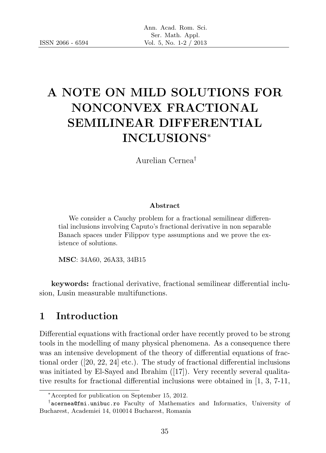# A NOTE ON MILD SOLUTIONS FOR NONCONVEX FRACTIONAL SEMILINEAR DIFFERENTIAL INCLUSIONS<sup>∗</sup>

Aurelian Cernea†

#### Abstract

We consider a Cauchy problem for a fractional semilinear differential inclusions involving Caputo's fractional derivative in non separable Banach spaces under Filippov type assumptions and we prove the existence of solutions.

MSC: 34A60, 26A33, 34B15

keywords: fractional derivative, fractional semilinear differential inclusion, Lusin measurable multifunctions.

# 1 Introduction

Differential equations with fractional order have recently proved to be strong tools in the modelling of many physical phenomena. As a consequence there was an intensive development of the theory of differential equations of fractional order ([20, 22, 24] etc.). The study of fractional differential inclusions was initiated by El-Sayed and Ibrahim ([17]). Very recently several qualitative results for fractional differential inclusions were obtained in [1, 3, 7-11,

<sup>∗</sup>Accepted for publication on September 15, 2012.

<sup>†</sup> acernea@fmi.unibuc.ro Faculty of Mathematics and Informatics, University of Bucharest, Academiei 14, 010014 Bucharest, Romania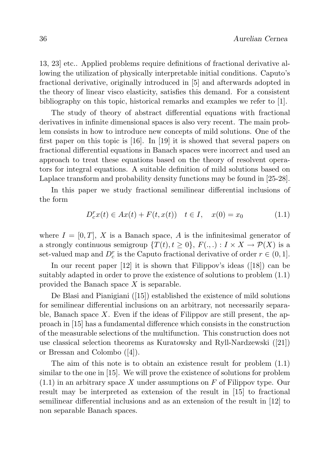13, 23] etc.. Applied problems require definitions of fractional derivative allowing the utilization of physically interpretable initial conditions. Caputo's fractional derivative, originally introduced in [5] and afterwards adopted in the theory of linear visco elasticity, satisfies this demand. For a consistent bibliography on this topic, historical remarks and examples we refer to [1].

The study of theory of abstract differential equations with fractional derivatives in infinite dimensional spaces is also very recent. The main problem consists in how to introduce new concepts of mild solutions. One of the first paper on this topic is [16]. In [19] it is showed that several papers on fractional differential equations in Banach spaces were incorrect and used an approach to treat these equations based on the theory of resolvent operators for integral equations. A suitable definition of mild solutions based on Laplace transform and probability density functions may be found in [25-28].

In this paper we study fractional semilinear differential inclusions of the form

$$
D_c^r x(t) \in Ax(t) + F(t, x(t)) \quad t \in I, \quad x(0) = x_0 \tag{1.1}
$$

where  $I = [0, T]$ , X is a Banach space, A is the infinitesimal generator of a strongly continuous semigroup  $\{T(t), t \geq 0\}$ ,  $F(., .) : I \times X \to \mathcal{P}(X)$  is a set-valued map and  $D_c^r$  is the Caputo fractional derivative of order  $r \in (0, 1]$ .

In our recent paper  $[12]$  it is shown that Filippov's ideas  $([18])$  can be suitably adapted in order to prove the existence of solutions to problem (1.1) provided the Banach space X is separable.

De Blasi and Pianigiani ([15]) established the existence of mild solutions for semilinear differential inclusions on an arbitrary, not necessarily separable, Banach space  $X$ . Even if the ideas of Filippov are still present, the approach in [15] has a fundamental difference which consists in the construction of the measurable selections of the multifunction. This construction does not use classical selection theorems as Kuratowsky and Ryll-Nardzewski ([21]) or Bressan and Colombo ([4]).

The aim of this note is to obtain an existence result for problem (1.1) similar to the one in [15]. We will prove the existence of solutions for problem  $(1.1)$  in an arbitrary space X under assumptions on F of Filippov type. Our result may be interpreted as extension of the result in [15] to fractional semilinear differential inclusions and as an extension of the result in [12] to non separable Banach spaces.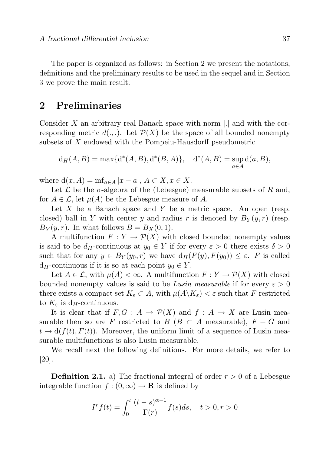The paper is organized as follows: in Section 2 we present the notations, definitions and the preliminary results to be used in the sequel and in Section 3 we prove the main result.

### 2 Preliminaries

Consider X an arbitrary real Banach space with norm  $\vert \cdot \vert$  and with the corresponding metric  $d(.,.)$ . Let  $\mathcal{P}(X)$  be the space of all bounded nonempty subsets of X endowed with the Pompeiu-Hausdorff pseudometric

$$
d_H(A, B) = max{d^*(A, B), d^*(B, A)}, d^*(A, B) = sup_{a \in A} d(a, B),
$$

where  $d(x, A) = \inf_{a \in A} |x - a|, A \subset X, x \in X$ .

Let  $\mathcal L$  be the  $\sigma$ -algebra of the (Lebesgue) measurable subsets of R and, for  $A \in \mathcal{L}$ , let  $\mu(A)$  be the Lebesgue measure of A.

Let X be a Banach space and Y be a metric space. An open (resp. closed) ball in Y with center y and radius r is denoted by  $B_Y(y, r)$  (resp.  $B_Y(y, r)$ . In what follows  $B = B_X(0, 1)$ .

A multifunction  $F: Y \to \mathcal{P}(X)$  with closed bounded nonempty values is said to be  $d_H$ -continuous at  $y_0 \in Y$  if for every  $\varepsilon > 0$  there exists  $\delta > 0$ such that for any  $y \in B_Y(y_0, r)$  we have  $d_H(F(y), F(y_0)) \leq \varepsilon$ . F is called  $d_H$ -continuous if it is so at each point  $y_0 \in Y$ .

Let  $A \in \mathcal{L}$ , with  $\mu(A) < \infty$ . A multifunction  $F: Y \to \mathcal{P}(X)$  with closed bounded nonempty values is said to be Lusin measurable if for every  $\varepsilon > 0$ there exists a compact set  $K_{\varepsilon} \subset A$ , with  $\mu(A \backslash K_{\varepsilon}) < \varepsilon$  such that F restricted to  $K_{\varepsilon}$  is d<sub>H</sub>-continuous.

It is clear that if  $F, G : A \to \mathcal{P}(X)$  and  $f : A \to X$  are Lusin measurable then so are F restricted to  $B (B \subset A$  measurable),  $F + G$  and  $t \to d(f(t), F(t))$ . Moreover, the uniform limit of a sequence of Lusin measurable multifunctions is also Lusin measurable.

We recall next the following definitions. For more details, we refer to [20].

**Definition 2.1.** a) The fractional integral of order  $r > 0$  of a Lebesgue integrable function  $f:(0,\infty) \to \mathbf{R}$  is defined by

$$
I^r f(t) = \int_0^t \frac{(t-s)^{\alpha-1}}{\Gamma(r)} f(s) ds, \quad t > 0, r > 0
$$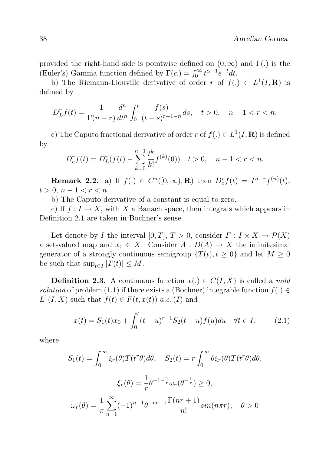provided the right-hand side is pointwise defined on  $(0, \infty)$  and  $\Gamma(.)$  is the (Euler's) Gamma function defined by  $\Gamma(\alpha) = \int_0^\infty t^{\alpha-1} e^{-t} dt$ .

b) The Riemann-Liouville derivative of order r of  $f(.) \in L^1(I, \mathbf{R})$  is defined by

$$
D_{L}^{r}f(t) = \frac{1}{\Gamma(n-r)}\frac{d^{n}}{dt^{n}}\int_{0}^{t}\frac{f(s)}{(t-s)^{r+1-n}}ds, \quad t > 0, \quad n - 1 < r < n.
$$

c) The Caputo fractional derivative of order r of  $f(.) \in L^1(I, \mathbf{R})$  is defined by

$$
D_{c}^{r} f(t) = D_{L}^{r} (f(t) - \sum_{k=0}^{n-1} \frac{t^{k}}{k!} f^{(k)}(0)) \quad t > 0, \quad n - 1 < r < n.
$$

**Remark 2.2.** a) If  $f(.) \in C^n([0,\infty), \mathbf{R})$  then  $D_c^r f(t) = I^{n-r} f^{(n)}(t)$ ,  $t > 0, n - 1 < r < n$ .

b) The Caputo derivative of a constant is equal to zero.

c) If  $f: I \to X$ , with X a Banach space, then integrals which appears in Definition 2.1 are taken in Bochner's sense.

Let denote by I the interval  $[0, T]$ ,  $T > 0$ , consider  $F : I \times X \to \mathcal{P}(X)$ a set-valued map and  $x_0 \in X$ . Consider  $A: D(A) \to X$  the infinitesimal generator of a strongly continuous semigroup  $\{T(t), t \geq 0\}$  and let  $M \geq 0$ be such that  $\sup_{t\in I}|T(t)|\leq M$ .

**Definition 2.3.** A continuous function  $x(.) \in C(I, X)$  is called a *mild* solution of problem (1.1) if there exists a (Bochner) integrable function  $f(.) \in$  $L^1(I, X)$  such that  $f(t) \in F(t, x(t))$  a.e. (I) and

$$
x(t) = S_1(t)x_0 + \int_0^t (t-u)^{r-1} S_2(t-u) f(u) du \quad \forall t \in I,
$$
 (2.1)

where

$$
S_1(t) = \int_0^\infty \xi_r(\theta) T(t^r \theta) d\theta, \quad S_2(t) = r \int_0^\infty \theta \xi_r(\theta) T(t^r \theta) d\theta,
$$

$$
\xi_r(\theta) = \frac{1}{r} \theta^{-1 - \frac{1}{r}} \omega_r(\theta^{-\frac{1}{r}}) \ge 0,
$$

$$
\omega_r(\theta) = \frac{1}{\pi} \sum_{n=1}^\infty (-1)^{n-1} \theta^{-rn - 1} \frac{\Gamma(nr+1)}{n!} \sin(n\pi r), \quad \theta > 0
$$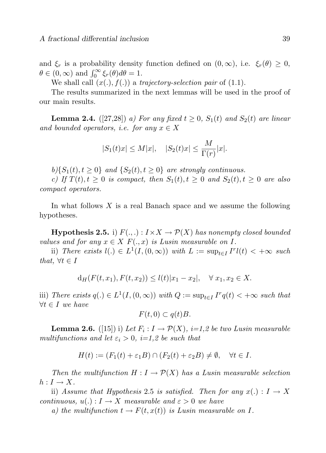and  $\xi_r$  is a probability density function defined on  $(0,\infty)$ , i.e.  $\xi_r(\theta) \geq 0$ ,  $\theta \in (0,\infty)$  and  $\int_0^\infty \xi_r(\theta) d\theta = 1$ .

We shall call  $(x(.) , f(.))$  a trajectory-selection pair of  $(1.1)$ .

The results summarized in the next lemmas will be used in the proof of our main results.

**Lemma 2.4.** ([27,28]) a) For any fixed  $t \geq 0$ ,  $S_1(t)$  and  $S_2(t)$  are linear and bounded operators, i.e. for any  $x \in X$ 

$$
|S_1(t)x| \le M|x|, \quad |S_2(t)x| \le \frac{M}{\Gamma(r)}|x|.
$$

 $b$ }{S<sub>1</sub>(t),  $t \ge 0$ } and {S<sub>2</sub>(t),  $t \ge 0$ } are strongly continuous.

c) If  $T(t)$ ,  $t \geq 0$  is compact, then  $S_1(t)$ ,  $t \geq 0$  and  $S_2(t)$ ,  $t \geq 0$  are also compact operators.

In what follows  $X$  is a real Banach space and we assume the following hypotheses.

**Hypothesis 2.5.** i)  $F(.,.)$  :  $I \times X \rightarrow \mathcal{P}(X)$  has nonempty closed bounded values and for any  $x \in X$   $F(.,x)$  is Lusin measurable on I.

ii) There exists  $l(.) \in L^1(I, (0, \infty))$  with  $L := \sup_{t \in I} I^r l(t) < +\infty$  such that,  $\forall t \in I$ 

$$
d_H(F(t, x_1), F(t, x_2)) \le l(t)|x_1 - x_2|, \quad \forall \ x_1, x_2 \in X.
$$

iii) There exists  $q(.) \in L^1(I, (0, \infty))$  with  $Q := \sup_{t \in I} I^r q(t) < +\infty$  such that  $\forall t \in I$  we have

$$
F(t,0) \subset q(t)B.
$$

**Lemma 2.6.** ([15]) i) Let  $F_i: I \to \mathcal{P}(X)$ , i=1,2 be two Lusin measurable multifunctions and let  $\varepsilon_i > 0$ , i=1,2 be such that

$$
H(t) := (F_1(t) + \varepsilon_1 B) \cap (F_2(t) + \varepsilon_2 B) \neq \emptyset, \quad \forall t \in I.
$$

Then the multifunction  $H : I \to \mathcal{P}(X)$  has a Lusin measurable selection  $h: I \to X$ .

ii) Assume that Hypothesis 2.5 is satisfied. Then for any  $x(.) : I \rightarrow X$ continuous,  $u(.) : I \to X$  measurable and  $\varepsilon > 0$  we have

a) the multifunction  $t \to F(t, x(t))$  is Lusin measurable on I.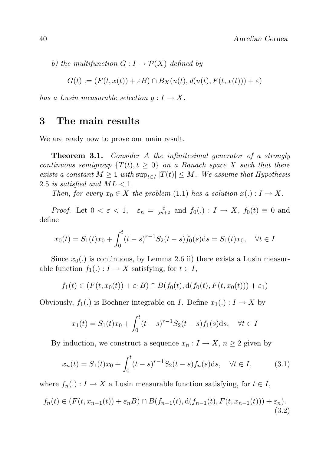b) the multifunction  $G: I \to \mathcal{P}(X)$  defined by

$$
G(t) := (F(t, x(t)) + \varepsilon B) \cap B_X(u(t), d(u(t), F(t, x(t))) + \varepsilon)
$$

has a Lusin measurable selection  $q: I \to X$ .

#### 3 The main results

We are ready now to prove our main result.

**Theorem 3.1.** Consider A the infinitesimal generator of a strongly continuous semigroup  $\{T(t), t \geq 0\}$  on a Banach space X such that there exists a constant  $M \geq 1$  with  $\sup_{t \in I} |T(t)| \leq M$ . We assume that Hypothesis 2.5 is satisfied and  $ML < 1$ .

Then, for every  $x_0 \in X$  the problem (1.1) has a solution  $x(.) : I \to X$ .

*Proof.* Let  $0 < \varepsilon < 1$ ,  $\varepsilon_n = \frac{\varepsilon}{2^{n+2}}$  and  $f_0(.) : I \to X$ ,  $f_0(t) \equiv 0$  and define

$$
x_0(t) = S_1(t)x_0 + \int_0^t (t-s)^{r-1} S_2(t-s) f_0(s) ds = S_1(t)x_0, \quad \forall t \in I
$$

Since  $x_0(.)$  is continuous, by Lemma 2.6 ii) there exists a Lusin measurable function  $f_1(.) : I \to X$  satisfying, for  $t \in I$ ,

$$
f_1(t) \in (F(t, x_0(t)) + \varepsilon_1 B) \cap B(f_0(t), d(f_0(t), F(t, x_0(t))) + \varepsilon_1)
$$

Obviously,  $f_1(.)$  is Bochner integrable on *I*. Define  $x_1(.) : I \to X$  by

$$
x_1(t) = S_1(t)x_0 + \int_0^t (t-s)^{r-1} S_2(t-s) f_1(s) \, ds, \quad \forall t \in I
$$

By induction, we construct a sequence  $x_n : I \to X$ ,  $n \geq 2$  given by

$$
x_n(t) = S_1(t)x_0 + \int_0^t (t-s)^{r-1} S_2(t-s) f_n(s) ds, \quad \forall t \in I,
$$
 (3.1)

where  $f_n(.) : I \to X$  a Lusin measurable function satisfying, for  $t \in I$ ,

$$
f_n(t) \in (F(t, x_{n-1}(t)) + \varepsilon_n B) \cap B(f_{n-1}(t), d(f_{n-1}(t), F(t, x_{n-1}(t))) + \varepsilon_n). \tag{3.2}
$$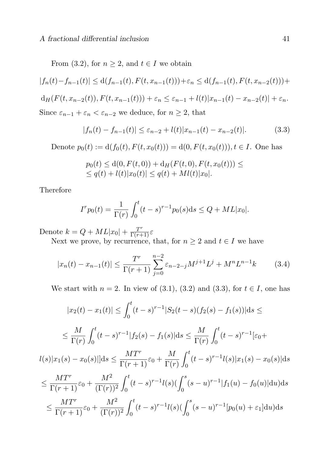From (3.2), for  $n \geq 2$ , and  $t \in I$  we obtain

$$
|f_n(t) - f_{n-1}(t)| \le d(f_{n-1}(t), F(t, x_{n-1}(t))) + \varepsilon_n \le d(f_{n-1}(t), F(t, x_{n-2}(t))) +
$$

$$
d_H(F(t, x_{n-2}(t)), F(t, x_{n-1}(t))) + \varepsilon_n \leq \varepsilon_{n-1} + l(t)|x_{n-1}(t) - x_{n-2}(t)| + \varepsilon_n.
$$

Since  $\varepsilon_{n-1} + \varepsilon_n < \varepsilon_{n-2}$  we deduce, for  $n \geq 2$ , that

$$
|f_n(t) - f_{n-1}(t)| \le \varepsilon_{n-2} + l(t)|x_{n-1}(t) - x_{n-2}(t)|. \tag{3.3}
$$

Denote  $p_0(t) := d(f_0(t), F(t, x_0(t))) = d(0, F(t, x_0(t))), t \in I$ . One has

$$
p_0(t) \le d(0, F(t, 0)) + d_H(F(t, 0), F(t, x_0(t))) \le
$$
  

$$
\le q(t) + l(t)|x_0(t)| \le q(t) + M(l(t)|x_0|.
$$

Therefore

$$
I^{r} p_{0}(t) = \frac{1}{\Gamma(r)} \int_{0}^{t} (t - s)^{r-1} p_{0}(s) \, \mathrm{d}s \le Q + ML|x_{0}|.
$$

Denote  $k = Q + ML|x_0| + \frac{T^r}{\Gamma(r+1)}\varepsilon$ 

Next we prove, by recurrence, that, for  $n \geq 2$  and  $t \in I$  we have

$$
|x_n(t) - x_{n-1}(t)| \le \frac{T^r}{\Gamma(r+1)} \sum_{j=0}^{n-2} \varepsilon_{n-2-j} M^{j+1} L^j + M^n L^{n-1} k \tag{3.4}
$$

We start with  $n = 2$ . In view of (3.1), (3.2) and (3.3), for  $t \in I$ , one has

$$
|x_2(t) - x_1(t)| \le \int_0^t (t-s)^{r-1} |S_2(t-s)(f_2(s) - f_1(s))| ds \le
$$
  

$$
\le \frac{M}{\Gamma(r)} \int_0^t (t-s)^{r-1} |f_2(s) - f_1(s)| ds \le \frac{M}{\Gamma(r)} \int_0^t (t-s)^{r-1} |\varepsilon_0 +
$$
  

$$
l(s)|x_1(s) - x_0(s)||ds \le \frac{MT^r}{\Gamma(r+1)} \varepsilon_0 + \frac{M}{\Gamma(r)} \int_0^t (t-s)^{r-1} l(s)|x_1(s) - x_0(s)| ds
$$
  

$$
\le \frac{MT^r}{\Gamma(r+1)} \varepsilon_0 + \frac{M^2}{(\Gamma(r))^2} \int_0^t (t-s)^{r-1} l(s) (\int_0^s (s-u)^{r-1} |f_1(u) - f_0(u)| du) ds
$$
  

$$
\le \frac{MT^r}{\Gamma(r+1)} \varepsilon_0 + \frac{M^2}{(\Gamma(r))^2} \int_0^t (t-s)^{r-1} l(s) (\int_0^s (s-u)^{r-1} [p_0(u) + \varepsilon_1] du) ds
$$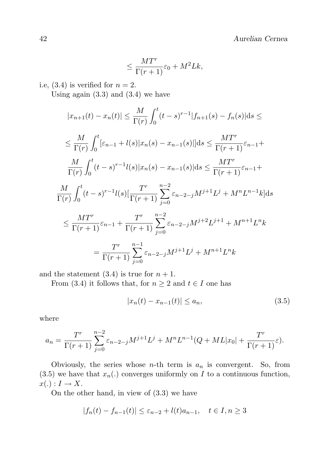$$
\leq \frac{MT^r}{\Gamma(r+1)}\varepsilon_0 + M^2Lk,
$$

i.e,  $(3.4)$  is verified for  $n = 2$ .

Using again  $(3.3)$  and  $(3.4)$  we have

$$
|x_{n+1}(t) - x_n(t)| \le \frac{M}{\Gamma(r)} \int_0^t (t-s)^{r-1} |f_{n+1}(s) - f_n(s)| ds \le
$$
  
\n
$$
\le \frac{M}{\Gamma(r)} \int_0^t [\varepsilon_{n-1} + l(s)|x_n(s) - x_{n-1}(s)|] ds \le \frac{MT^r}{\Gamma(r+1)} \varepsilon_{n-1} +
$$
  
\n
$$
\frac{M}{\Gamma(r)} \int_0^t (t-s)^{r-1} l(s)|x_n(s) - x_{n-1}(s)| ds \le \frac{MT^r}{\Gamma(r+1)} \varepsilon_{n-1} +
$$
  
\n
$$
\frac{M}{\Gamma(r)} \int_0^t (t-s)^{r-1} l(s) [\frac{T^r}{\Gamma(r+1)} \sum_{j=0}^{n-2} \varepsilon_{n-2-j} M^{j+1} L^j + M^n L^{n-1} k] ds
$$
  
\n
$$
\le \frac{MT^r}{\Gamma(r+1)} \varepsilon_{n-1} + \frac{T^r}{\Gamma(r+1)} \sum_{j=0}^{n-2} \varepsilon_{n-2-j} M^{j+2} L^{j+1} + M^{n+1} L^n k
$$
  
\n
$$
= \frac{T^r}{\Gamma(r+1)} \sum_{j=0}^{n-1} \varepsilon_{n-2-j} M^{j+1} L^j + M^{n+1} L^n k
$$

and the statement  $(3.4)$  is true for  $n + 1$ .

From (3.4) it follows that, for  $n \geq 2$  and  $t \in I$  one has

$$
|x_n(t) - x_{n-1}(t)| \le a_n,
$$
\n(3.5)

where

$$
a_n = \frac{T^r}{\Gamma(r+1)} \sum_{j=0}^{n-2} \varepsilon_{n-2-j} M^{j+1} L^j + M^n L^{n-1} (Q + ML |x_0| + \frac{T^r}{\Gamma(r+1)} \varepsilon).
$$

Obviously, the series whose  $n$ -th term is  $a_n$  is convergent. So, from  $(3.5)$  we have that  $x_n(.)$  converges uniformly on I to a continuous function,  $x(.) : I \rightarrow X$ .

On the other hand, in view of (3.3) we have

$$
|f_n(t) - f_{n-1}(t)| \le \varepsilon_{n-2} + l(t)a_{n-1}, \quad t \in I, n \ge 3
$$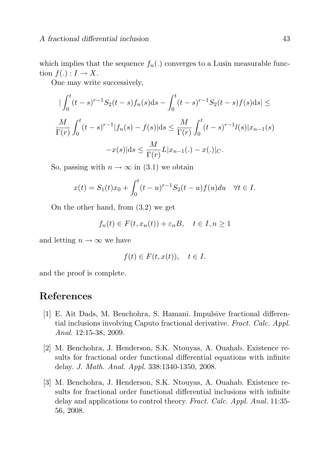which implies that the sequence  $f_n(.)$  converges to a Lusin measurable function  $f(.) : I \rightarrow X$ .

One may write successively,

$$
\begin{aligned} \n|\int_0^t (t-s)^{r-1} S_2(t-s) f_n(s) \, ds - \int_0^t (t-s)^{r-1} S_2(t-s) f(s) \, ds| &\leq \\ \n\frac{M}{\Gamma(r)} \int_0^t (t-s)^{r-1} |f_n(s) - f(s)| \, ds &\leq \frac{M}{\Gamma(r)} \int_0^t (t-s)^{r-1} l(s) |x_{n-1}(s) \\ \n&-x(s) | ds &\leq \frac{M}{\Gamma(r)} L |x_{n-1}(.) - x(.)|_C. \n\end{aligned}
$$

So, passing with  $n \to \infty$  in (3.1) we obtain

$$
x(t) = S_1(t)x_0 + \int_0^t (t - u)^{r-1} S_2(t - u) f(u) du \quad \forall t \in I.
$$

On the other hand, from (3.2) we get

 $f_n(t) \in F(t, x_n(t)) + \varepsilon_n B, \quad t \in I, n \geq 1$ 

and letting  $n \to \infty$  we have

$$
f(t) \in F(t, x(t)), \quad t \in I.
$$

and the proof is complete.

# References

- [1] E. Ait Dads, M. Benchohra, S. Hamani. Impulsive fractional differential inclusions involving Caputo fractional derivative. Fract. Calc. Appl. Anal. 12:15-38, 2009.
- [2] M. Benchohra, J. Henderson, S.K. Ntouyas, A. Ouahab. Existence results for fractional order functional differential equations with infinite delay. J. Math. Anal. Appl. 338:1340-1350, 2008.
- [3] M. Benchohra, J. Henderson, S.K. Ntouyas, A. Ouahab. Existence results for fractional order functional differential inclusions with infinite delay and applications to control theory. Fract. Calc. Appl. Anal. 11:35- 56, 2008.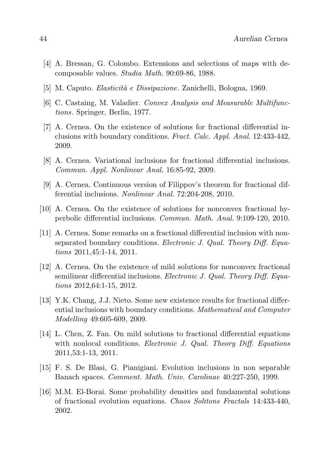- [4] A. Bressan, G. Colombo. Extensions and selections of maps with decomposable values. Studia Math. 90:69-86, 1988.
- [5] M. Caputo. Elasticit`a e Dissipazione. Zanichelli, Bologna, 1969.
- [6] C. Castaing, M. Valadier. Convex Analysis and Measurable Multifunctions. Springer, Berlin, 1977.
- [7] A. Cernea. On the existence of solutions for fractional differential inclusions with boundary conditions. Fract. Calc. Appl. Anal. 12:433-442, 2009.
- [8] A. Cernea. Variational inclusions for fractional differential inclusions. Commun. Appl. Nonlinear Anal. 16:85-92, 2009.
- [9] A. Cernea. Continuous version of Filippov's theorem for fractional differential inclusions. Nonlinear Anal. 72:204-208, 2010.
- [10] A. Cernea. On the existence of solutions for nonconvex fractional hyperbolic differential inclusions. Commun. Math. Anal. 9:109-120, 2010.
- [11] A. Cernea. Some remarks on a fractional differential inclusion with nonseparated boundary conditions. Electronic J. Qual. Theory Diff. Equations 2011,45:1-14, 2011.
- [12] A. Cernea. On the existence of mild solutions for nonconvex fractional semilinear differential inclusions. Electronic J. Qual. Theory Diff. Equations 2012,64:1-15, 2012.
- [13] Y.K. Chang, J.J. Nieto. Some new existence results for fractional differential inclusions with boundary conditions. Mathematical and Computer Modelling 49:605-609, 2009.
- [14] L. Chen, Z. Fan. On mild solutions to fractional differential equations with nonlocal conditions. *Electronic J. Qual. Theory Diff. Equations* 2011,53:1-13, 2011.
- [15] F. S. De Blasi, G. Pianigiani. Evolution inclusions in non separable Banach spaces. Comment. Math. Univ. Carolinae 40:227-250, 1999.
- [16] M.M. El-Borai. Some probability densities and fundamental solutions of fractional evolution equations. Chaos Solitons Fractals 14:433-440, 2002.